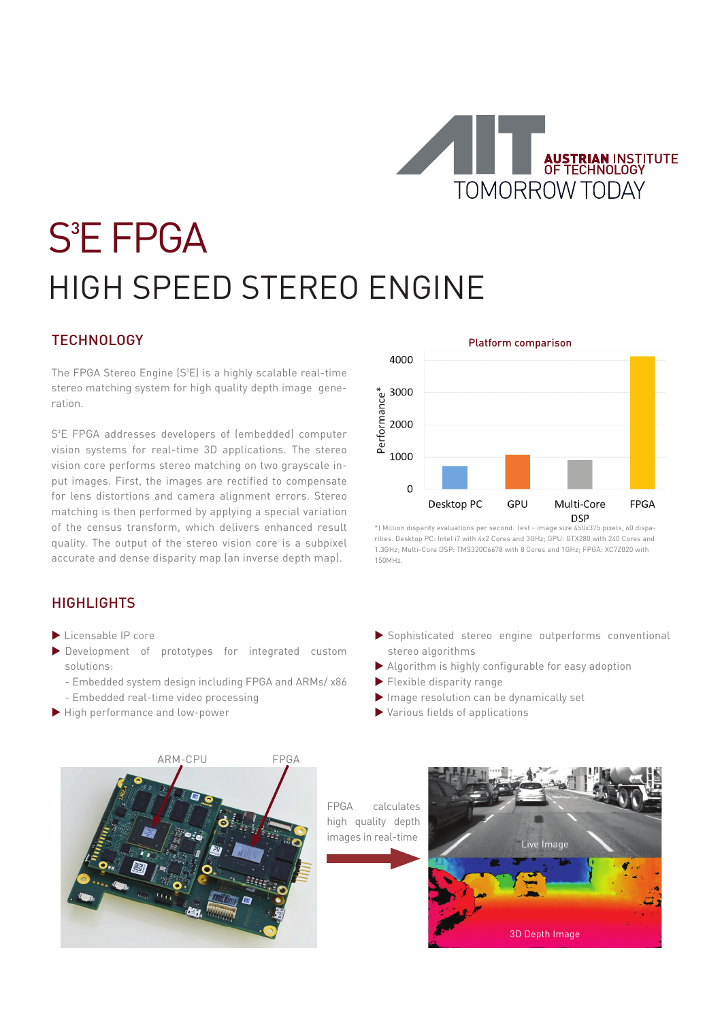

# **S**<sup>3</sup>E FPGA HIGH SPEED STEREO ENGINE

# **TECHNOLOGY**

The FPGA Stereo Engine (S<sup>3</sup>E) is a highly scalable real-time stereo matching system for high quality depth image generation.

S<sup>3</sup>E FPGA addresses developers of (embedded) computer vision systems for real-time 3D applications. The stereo vision core performs stereo matching on two grayscale input images. First, the images are rectified to compensate for lens distortions and camera alignment errors. Stereo matching is then performed by applying a special variation of the census transform, which delivers enhanced result quality. The output of the stereo vision core is a subpixel accurate and dense disparity map (an inverse depth map).

### **HIGHLIGHTS**

- $\blacktriangleright$  Licensable IP core
- Development of prototypes for integrated custom solutions:
	- Embedded system design including FPGA and ARMs/ x86
	- Embedded real-time video processing
- High performance and low-power



\*) Million disparity evaluations per second. Test - image size 450x375 pixels, 60 disparities. Desktop PC: Intel i7 with 4x2 Cores and 3GHz; GPU: GTX280 with 240 Cores and 1.3GHz; Multi-Core DSP: TMS320C6678 with 8 Cores and 1GHz; FPGA: XC7Z020 with 150MHz.

- Sophisticated stereo engine outperforms conventional stereo algorithms
- Algorithm is highly configurable for easy adoption
- **Flexible disparity range**
- Image resolution can be dynamically set
- Various fields of applications



FPGA calculates high quality depth images in real-time